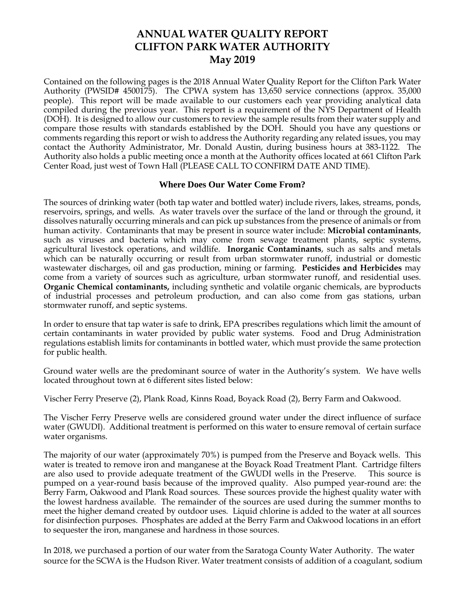# **ANNUAL WATER QUALITY REPORT CLIFTON PARK WATER AUTHORITY May 2019**

Contained on the following pages is the 2018 Annual Water Quality Report for the Clifton Park Water Authority (PWSID# 4500175). The CPWA system has 13,650 service connections (approx. 35,000 people). This report will be made available to our customers each year providing analytical data compiled during the previous year. This report is a requirement of the NYS Department of Health (DOH). It is designed to allow our customers to review the sample results from their water supply and compare those results with standards established by the DOH. Should you have any questions or comments regarding this report or wish to address the Authority regarding any related issues, you may contact the Authority Administrator, Mr. Donald Austin, during business hours at 383-1122. The Authority also holds a public meeting once a month at the Authority offices located at 661 Clifton Park Center Road, just west of Town Hall (PLEASE CALL TO CONFIRM DATE AND TIME).

#### **Where Does Our Water Come From?**

The sources of drinking water (both tap water and bottled water) include rivers, lakes, streams, ponds, reservoirs, springs, and wells. As water travels over the surface of the land or through the ground, it dissolves naturally occurring minerals and can pick up substances from the presence of animals or from human activity. Contaminants that may be present in source water include: **Microbial contaminants**, such as viruses and bacteria which may come from sewage treatment plants, septic systems, agricultural livestock operations, and wildlife. **Inorganic Contaminants**, such as salts and metals which can be naturally occurring or result from urban stormwater runoff, industrial or domestic wastewater discharges, oil and gas production, mining or farming. **Pesticides and Herbicides** may come from a variety of sources such as agriculture, urban stormwater runoff, and residential uses. **Organic Chemical contaminants,** including synthetic and volatile organic chemicals, are byproducts of industrial processes and petroleum production, and can also come from gas stations, urban stormwater runoff, and septic systems.

In order to ensure that tap water is safe to drink, EPA prescribes regulations which limit the amount of certain contaminants in water provided by public water systems. Food and Drug Administration regulations establish limits for contaminants in bottled water, which must provide the same protection for public health.

Ground water wells are the predominant source of water in the Authority's system. We have wells located throughout town at 6 different sites listed below:

Vischer Ferry Preserve (2), Plank Road, Kinns Road, Boyack Road (2), Berry Farm and Oakwood.

The Vischer Ferry Preserve wells are considered ground water under the direct influence of surface water (GWUDI). Additional treatment is performed on this water to ensure removal of certain surface water organisms.

The majority of our water (approximately 70%) is pumped from the Preserve and Boyack wells. This water is treated to remove iron and manganese at the Boyack Road Treatment Plant. Cartridge filters are also used to provide adequate treatment of the GWUDI wells in the Preserve. This source is pumped on a year-round basis because of the improved quality. Also pumped year-round are: the Berry Farm, Oakwood and Plank Road sources. These sources provide the highest quality water with the lowest hardness available. The remainder of the sources are used during the summer months to meet the higher demand created by outdoor uses. Liquid chlorine is added to the water at all sources for disinfection purposes. Phosphates are added at the Berry Farm and Oakwood locations in an effort to sequester the iron, manganese and hardness in those sources.

In 2018, we purchased a portion of our water from the Saratoga County Water Authority. The water source for the SCWA is the Hudson River. Water treatment consists of addition of a coagulant, sodium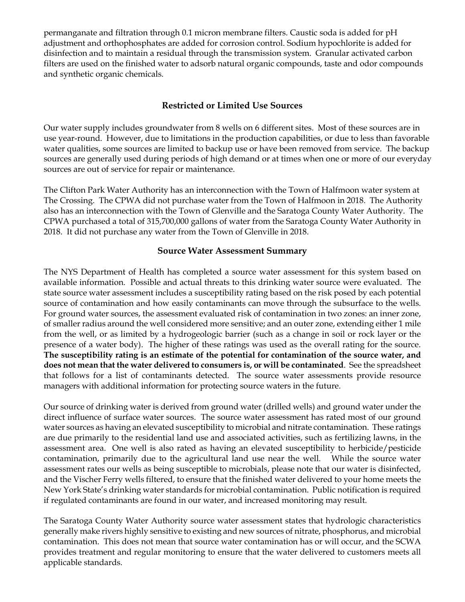permanganate and filtration through 0.1 micron membrane filters. Caustic soda is added for pH adjustment and orthophosphates are added for corrosion control. Sodium hypochlorite is added for disinfection and to maintain a residual through the transmission system. Granular activated carbon filters are used on the finished water to adsorb natural organic compounds, taste and odor compounds and synthetic organic chemicals.

# **Restricted or Limited Use Sources**

Our water supply includes groundwater from 8 wells on 6 different sites. Most of these sources are in use year-round. However, due to limitations in the production capabilities, or due to less than favorable water qualities, some sources are limited to backup use or have been removed from service. The backup sources are generally used during periods of high demand or at times when one or more of our everyday sources are out of service for repair or maintenance.

The Clifton Park Water Authority has an interconnection with the Town of Halfmoon water system at The Crossing. The CPWA did not purchase water from the Town of Halfmoon in 2018. The Authority also has an interconnection with the Town of Glenville and the Saratoga County Water Authority. The CPWA purchased a total of 315,700,000 gallons of water from the Saratoga County Water Authority in 2018. It did not purchase any water from the Town of Glenville in 2018.

#### **Source Water Assessment Summary**

The NYS Department of Health has completed a source water assessment for this system based on available information. Possible and actual threats to this drinking water source were evaluated. The state source water assessment includes a susceptibility rating based on the risk posed by each potential source of contamination and how easily contaminants can move through the subsurface to the wells. For ground water sources, the assessment evaluated risk of contamination in two zones: an inner zone, of smaller radius around the well considered more sensitive; and an outer zone, extending either 1 mile from the well, or as limited by a hydrogeologic barrier (such as a change in soil or rock layer or the presence of a water body). The higher of these ratings was used as the overall rating for the source. **The susceptibility rating is an estimate of the potential for contamination of the source water, and does not mean that the water delivered to consumers is, or will be contaminated**. See the spreadsheet that follows for a list of contaminants detected. The source water assessments provide resource managers with additional information for protecting source waters in the future.

Our source of drinking water is derived from ground water (drilled wells) and ground water under the direct influence of surface water sources. The source water assessment has rated most of our ground water sources as having an elevated susceptibility to microbial and nitrate contamination. These ratings are due primarily to the residential land use and associated activities, such as fertilizing lawns, in the assessment area. One well is also rated as having an elevated susceptibility to herbicide/pesticide contamination, primarily due to the agricultural land use near the well. While the source water assessment rates our wells as being susceptible to microbials, please note that our water is disinfected, and the Vischer Ferry wells filtered, to ensure that the finished water delivered to your home meets the New York State's drinking water standards for microbial contamination. Public notification is required if regulated contaminants are found in our water, and increased monitoring may result.

The Saratoga County Water Authority source water assessment states that hydrologic characteristics generally make rivers highly sensitive to existing and new sources of nitrate, phosphorus, and microbial contamination. This does not mean that source water contamination has or will occur, and the SCWA provides treatment and regular monitoring to ensure that the water delivered to customers meets all applicable standards.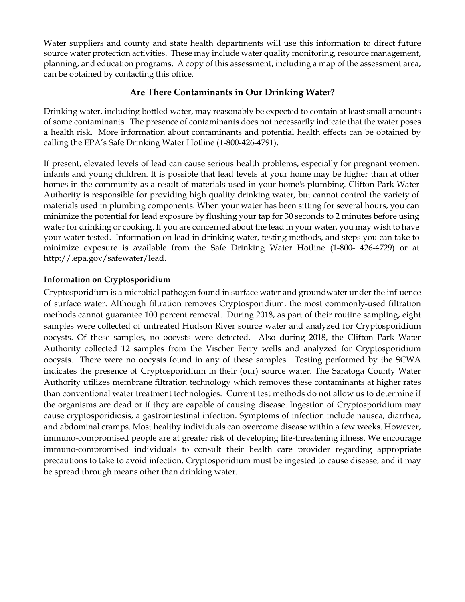Water suppliers and county and state health departments will use this information to direct future source water protection activities. These may include water quality monitoring, resource management, planning, and education programs. A copy of this assessment, including a map of the assessment area, can be obtained by contacting this office.

## **Are There Contaminants in Our Drinking Water?**

Drinking water, including bottled water, may reasonably be expected to contain at least small amounts of some contaminants. The presence of contaminants does not necessarily indicate that the water poses a health risk. More information about contaminants and potential health effects can be obtained by calling the EPA's Safe Drinking Water Hotline (1-800-426-4791).

If present, elevated levels of lead can cause serious health problems, especially for pregnant women, infants and young children. It is possible that lead levels at your home may be higher than at other homes in the community as a result of materials used in your home's plumbing. Clifton Park Water Authority is responsible for providing high quality drinking water, but cannot control the variety of materials used in plumbing components. When your water has been sitting for several hours, you can minimize the potential for lead exposure by flushing your tap for 30 seconds to 2 minutes before using water for drinking or cooking. If you are concerned about the lead in your water, you may wish to have your water tested. Information on lead in drinking water, testing methods, and steps you can take to minimize exposure is available from the Safe Drinking Water Hotline (1-800- 426-4729) or at http://.epa.gov/safewater/lead.

#### **Information on Cryptosporidium**

Cryptosporidium is a microbial pathogen found in surface water and groundwater under the influence of surface water. Although filtration removes Cryptosporidium, the most commonly-used filtration methods cannot guarantee 100 percent removal. During 2018, as part of their routine sampling, eight samples were collected of untreated Hudson River source water and analyzed for Cryptosporidium oocysts. Of these samples, no oocysts were detected. Also during 2018, the Clifton Park Water Authority collected 12 samples from the Vischer Ferry wells and analyzed for Cryptosporidium oocysts. There were no oocysts found in any of these samples. Testing performed by the SCWA indicates the presence of Cryptosporidium in their (our) source water. The Saratoga County Water Authority utilizes membrane filtration technology which removes these contaminants at higher rates than conventional water treatment technologies. Current test methods do not allow us to determine if the organisms are dead or if they are capable of causing disease. Ingestion of Cryptosporidium may cause cryptosporidiosis, a gastrointestinal infection. Symptoms of infection include nausea, diarrhea, and abdominal cramps. Most healthy individuals can overcome disease within a few weeks. However, immuno-compromised people are at greater risk of developing life-threatening illness. We encourage immuno-compromised individuals to consult their health care provider regarding appropriate precautions to take to avoid infection. Cryptosporidium must be ingested to cause disease, and it may be spread through means other than drinking water.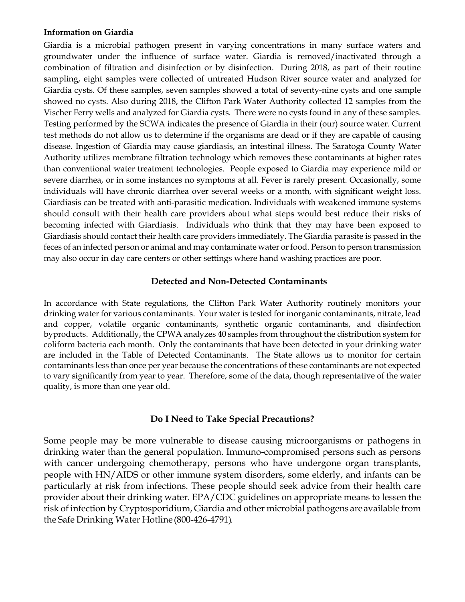#### **Information on Giardia**

Giardia is a microbial pathogen present in varying concentrations in many surface waters and groundwater under the influence of surface water. Giardia is removed/inactivated through a combination of filtration and disinfection or by disinfection. During 2018, as part of their routine sampling, eight samples were collected of untreated Hudson River source water and analyzed for Giardia cysts. Of these samples, seven samples showed a total of seventy-nine cysts and one sample showed no cysts. Also during 2018, the Clifton Park Water Authority collected 12 samples from the Vischer Ferry wells and analyzed for Giardia cysts. There were no cysts found in any of these samples. Testing performed by the SCWA indicates the presence of Giardia in their (our) source water. Current test methods do not allow us to determine if the organisms are dead or if they are capable of causing disease. Ingestion of Giardia may cause giardiasis, an intestinal illness. The Saratoga County Water Authority utilizes membrane filtration technology which removes these contaminants at higher rates than conventional water treatment technologies. People exposed to Giardia may experience mild or severe diarrhea, or in some instances no symptoms at all. Fever is rarely present. Occasionally, some individuals will have chronic diarrhea over several weeks or a month, with significant weight loss. Giardiasis can be treated with anti-parasitic medication. Individuals with weakened immune systems should consult with their health care providers about what steps would best reduce their risks of becoming infected with Giardiasis. Individuals who think that they may have been exposed to Giardiasis should contact their health care providers immediately. The Giardia parasite is passed in the feces of an infected person or animal and may contaminate water or food. Person to person transmission may also occur in day care centers or other settings where hand washing practices are poor.

#### **Detected and Non-Detected Contaminants**

In accordance with State regulations, the Clifton Park Water Authority routinely monitors your drinking water for various contaminants. Your water is tested for inorganic contaminants, nitrate, lead and copper, volatile organic contaminants, synthetic organic contaminants, and disinfection byproducts. Additionally, the CPWA analyzes 40 samples from throughout the distribution system for coliform bacteria each month. Only the contaminants that have been detected in your drinking water are included in the Table of Detected Contaminants. The State allows us to monitor for certain contaminants less than once per year because the concentrations of these contaminants are not expected to vary significantly from year to year. Therefore, some of the data, though representative of the water quality, is more than one year old.

#### **Do I Need to Take Special Precautions?**

Some people may be more vulnerable to disease causing microorganisms or pathogens in drinking water than the general population. Immuno-compromised persons such as persons with cancer undergoing chemotherapy, persons who have undergone organ transplants, people with HN/AIDS or other immune system disorders, some elderly, and infants can be particularly at risk from infections. These people should seek advice from their health care provider about their drinking water. EPA/CDC guidelines on appropriate means to lessen the risk of infection by Cryptosporidium, Giardia and other microbial pathogens areavailable from the Safe Drinking Water Hotline (800-426-4791).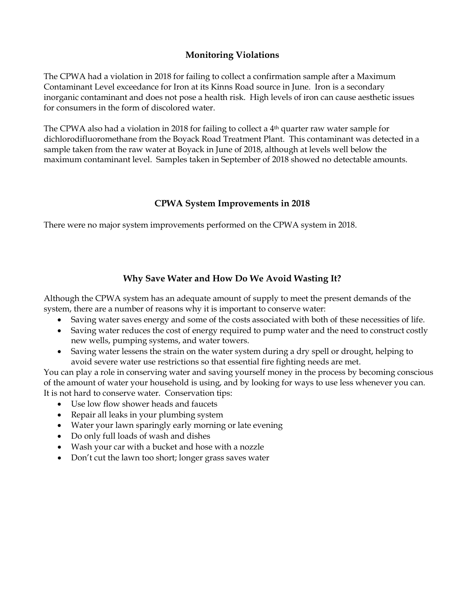## **Monitoring Violations**

The CPWA had a violation in 2018 for failing to collect a confirmation sample after a Maximum Contaminant Level exceedance for Iron at its Kinns Road source in June. Iron is a secondary inorganic contaminant and does not pose a health risk. High levels of iron can cause aesthetic issues for consumers in the form of discolored water.

The CPWA also had a violation in 2018 for failing to collect a  $4<sup>th</sup>$  quarter raw water sample for dichlorodifluoromethane from the Boyack Road Treatment Plant. This contaminant was detected in a sample taken from the raw water at Boyack in June of 2018, although at levels well below the maximum contaminant level. Samples taken in September of 2018 showed no detectable amounts.

#### **CPWA System Improvements in 2018**

There were no major system improvements performed on the CPWA system in 2018.

## **Why Save Water and How Do We Avoid Wasting It?**

Although the CPWA system has an adequate amount of supply to meet the present demands of the system, there are a number of reasons why it is important to conserve water:

- Saving water saves energy and some of the costs associated with both of these necessities of life.
- Saving water reduces the cost of energy required to pump water and the need to construct costly new wells, pumping systems, and water towers.
- Saving water lessens the strain on the water system during a dry spell or drought, helping to avoid severe water use restrictions so that essential fire fighting needs are met.

You can play a role in conserving water and saving yourself money in the process by becoming conscious of the amount of water your household is using, and by looking for ways to use less whenever you can. It is not hard to conserve water. Conservation tips:

- Use low flow shower heads and faucets
- Repair all leaks in your plumbing system
- Water your lawn sparingly early morning or late evening
- Do only full loads of wash and dishes
- Wash your car with a bucket and hose with a nozzle
- Don't cut the lawn too short; longer grass saves water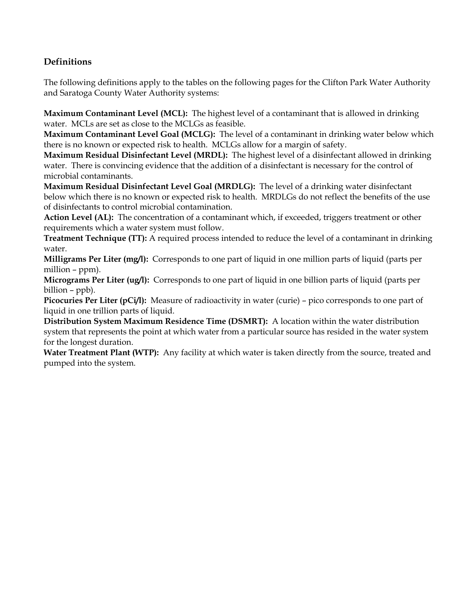# **Definitions**

The following definitions apply to the tables on the following pages for the Clifton Park Water Authority and Saratoga County Water Authority systems:

**Maximum Contaminant Level (MCL):** The highest level of a contaminant that is allowed in drinking water. MCLs are set as close to the MCLGs as feasible.

**Maximum Contaminant Level Goal (MCLG):** The level of a contaminant in drinking water below which there is no known or expected risk to health. MCLGs allow for a margin of safety.

**Maximum Residual Disinfectant Level (MRDL):** The highest level of a disinfectant allowed in drinking water. There is convincing evidence that the addition of a disinfectant is necessary for the control of microbial contaminants.

**Maximum Residual Disinfectant Level Goal (MRDLG):** The level of a drinking water disinfectant below which there is no known or expected risk to health. MRDLGs do not reflect the benefits of the use of disinfectants to control microbial contamination.

**Action Level (AL):** The concentration of a contaminant which, if exceeded, triggers treatment or other requirements which a water system must follow.

**Treatment Technique (TT):** A required process intended to reduce the level of a contaminant in drinking water.

**Milligrams Per Liter (mg/l):** Corresponds to one part of liquid in one million parts of liquid (parts per million – ppm).

**Micrograms Per Liter (ug/l):** Corresponds to one part of liquid in one billion parts of liquid (parts per billion – ppb).

**Picocuries Per Liter (pCi/l):** Measure of radioactivity in water (curie) – pico corresponds to one part of liquid in one trillion parts of liquid.

**Distribution System Maximum Residence Time (DSMRT):** A location within the water distribution system that represents the point at which water from a particular source has resided in the water system for the longest duration.

**Water Treatment Plant (WTP):** Any facility at which water is taken directly from the source, treated and pumped into the system.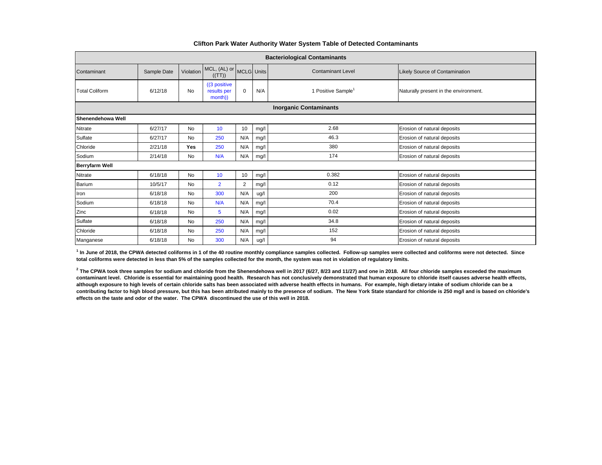| <b>Bacteriological Contaminants</b> |             |           |                                         |                |      |                                |                                       |  |  |  |  |
|-------------------------------------|-------------|-----------|-----------------------------------------|----------------|------|--------------------------------|---------------------------------------|--|--|--|--|
| Contaminant                         | Sample Date | Violation | MCL, (AL) or MCLG Units<br>((TT))       |                |      | <b>Contaminant Level</b>       | <b>Likely Source of Contamination</b> |  |  |  |  |
| <b>Total Coliform</b>               | 6/12/18     | <b>No</b> | ((3 positive)<br>results per<br>month)) | $\mathbf 0$    | N/A  | 1 Positive Sample <sup>1</sup> | Naturally present in the environment. |  |  |  |  |
| <b>Inorganic Contaminants</b>       |             |           |                                         |                |      |                                |                                       |  |  |  |  |
| Shenendehowa Well                   |             |           |                                         |                |      |                                |                                       |  |  |  |  |
| <b>Nitrate</b>                      | 6/27/17     | No        | 10                                      | 10             | mg/l | 2.68                           | Erosion of natural deposits           |  |  |  |  |
| Sulfate                             | 6/27/17     | <b>No</b> | 250                                     | N/A            | mg/l | 46.3                           | Erosion of natural deposits           |  |  |  |  |
| Chloride                            | 2/21/18     | Yes       | 250                                     | N/A            | mg/l | 380                            | Erosion of natural deposits           |  |  |  |  |
| Sodium                              | 2/14/18     | No        | N/A                                     | N/A            | mg/l | 174                            | Erosion of natural deposits           |  |  |  |  |
| <b>Berryfarm Well</b>               |             |           |                                         |                |      |                                |                                       |  |  |  |  |
| Nitrate                             | 6/18/18     | <b>No</b> | 10                                      | 10             | mg/l | 0.382                          | Erosion of natural deposits           |  |  |  |  |
| Barium                              | 10/5/17     | No        | $\overline{2}$                          | $\overline{2}$ | mg/l | 0.12                           | Erosion of natural deposits           |  |  |  |  |
| Iron                                | 6/18/18     | No        | 300                                     | N/A            | ug/l | 200                            | Erosion of natural deposits           |  |  |  |  |
| Sodium                              | 6/18/18     | No        | N/A                                     | N/A            | mg/l | 70.4                           | Erosion of natural deposits           |  |  |  |  |
| Zinc                                | 6/18/18     | No        | 5                                       | N/A            | mg/l | 0.02                           | Erosion of natural deposits           |  |  |  |  |
| Sulfate                             | 6/18/18     | No        | 250                                     | N/A            | mg/l | 34.8                           | Erosion of natural deposits           |  |  |  |  |
| Chloride                            | 6/18/18     | No        | 250                                     | N/A            | mg/l | 152                            | Erosion of natural deposits           |  |  |  |  |
| Manganese                           | 6/18/18     | No        | 300                                     | N/A            | ug/l | 94                             | Erosion of natural deposits           |  |  |  |  |

#### **Clifton Park Water Authority Water System Table of Detected Contaminants**

<sup>1</sup> In June of 2018, the CPWA detected coliforms in 1 of the 40 routine monthly compliance samples collected. Follow-up samples were collected and coliforms were not detected. Since **total coliforms were detected in less than 5% of the samples collected for the month, the system was not in violation of regulatory limits.**

 $^2$  The CPWA took three samples for sodium and chloride from the Shenendehowa well in 2017 (6/27, 8/23 and 11/27) and one in 2018. All four chloride samples exceeded the maximum **contaminant level. Chloride is essential for maintaining good health. Research has not conclusively demonstrated that human exposure to chloride itself causes adverse health effects, although exposure to high levels of certain chloride salts has been associated with adverse health effects in humans. For example, high dietary intake of sodium chloride can be a contributing factor to high blood pressure, but this has been attributed mainly to the presence of sodium. The New York State standard for chloride is 250 mg/l and is based on chloride's effects on the taste and odor of the water. The CPWA discontinued the use of this well in 2018.**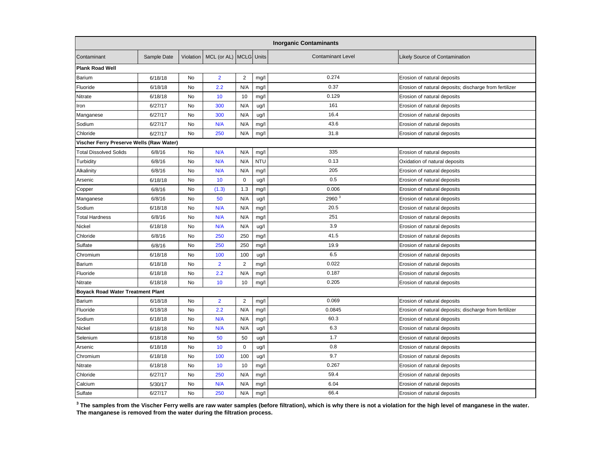| <b>Inorganic Contaminants</b>            |             |           |                        |                |            |                          |                                                        |  |  |
|------------------------------------------|-------------|-----------|------------------------|----------------|------------|--------------------------|--------------------------------------------------------|--|--|
| Contaminant                              | Sample Date | Violation | MCL (or AL) MCLG Units |                |            | <b>Contaminant Level</b> | Likely Source of Contamination                         |  |  |
| <b>Plank Road Well</b>                   |             |           |                        |                |            |                          |                                                        |  |  |
| Barium                                   | 6/18/18     | No        | $\overline{2}$         | 2              | mg/l       | 0.274                    | Erosion of natural deposits                            |  |  |
| Fluoride                                 | 6/18/18     | No        | 2.2                    | N/A            | mg/l       | 0.37                     | Erosion of natural deposits; discharge from fertilizer |  |  |
| Nitrate                                  | 6/18/18     | No        | 10                     | 10             | mg/l       | 0.129                    | Erosion of natural deposits                            |  |  |
| Iron                                     | 6/27/17     | No        | 300                    | N/A            | ug/l       | 161                      | Erosion of natural deposits                            |  |  |
| Manganese                                | 6/27/17     | <b>No</b> | 300                    | N/A            | ug/l       | 16.4                     | Erosion of natural deposits                            |  |  |
| Sodium                                   | 6/27/17     | No        | N/A                    | N/A            | mg/l       | 43.6                     | Erosion of natural deposits                            |  |  |
| Chloride                                 | 6/27/17     | No        | 250                    | N/A            | mg/l       | 31.8                     | Erosion of natural deposits                            |  |  |
| Vischer Ferry Preserve Wells (Raw Water) |             |           |                        |                |            |                          |                                                        |  |  |
| <b>Total Dissolved Solids</b>            | 6/8/16      | No        | N/A                    | N/A            | mg/l       | 335                      | Erosion of natural deposits                            |  |  |
| Turbidity                                | 6/8/16      | No        | N/A                    | N/A            | <b>NTU</b> | 0.13                     | Oxidation of natural deposits                          |  |  |
| Alkalinity                               | 6/8/16      | No        | N/A                    | N/A            | mg/l       | 205                      | Erosion of natural deposits                            |  |  |
| Arsenic                                  | 6/18/18     | No        | 10                     | $\mathbf 0$    | ug/l       | 0.5                      | Erosion of natural deposits                            |  |  |
| Copper                                   | 6/8/16      | No        | (1.3)                  | 1.3            | mg/l       | 0.006                    | Erosion of natural deposits                            |  |  |
| Manganese                                | 6/8/16      | No        | 50                     | N/A            | ug/l       | 2960 <sup>3</sup>        | Erosion of natural deposits                            |  |  |
| Sodium                                   | 6/18/18     | No        | N/A                    | N/A            | mg/l       | 20.5                     | Erosion of natural deposits                            |  |  |
| <b>Total Hardness</b>                    | 6/8/16      | No        | N/A                    | N/A            | mg/l       | 251                      | Erosion of natural deposits                            |  |  |
| Nickel                                   | 6/18/18     | No        | N/A                    | N/A            | ug/l       | 3.9                      | Erosion of natural deposits                            |  |  |
| Chloride                                 | 6/8/16      | No        | 250                    | 250            | mg/l       | 41.5                     | Erosion of natural deposits                            |  |  |
| Sulfate                                  | 6/8/16      | No        | 250                    | 250            | mg/l       | 19.9                     | Erosion of natural deposits                            |  |  |
| Chromium                                 | 6/18/18     | <b>No</b> | 100                    | 100            | ug/l       | 6.5                      | Erosion of natural deposits                            |  |  |
| Barium                                   | 6/18/18     | No        | $\overline{2}$         | $\overline{2}$ | mg/l       | 0.022                    | Erosion of natural deposits                            |  |  |
| Fluoride                                 | 6/18/18     | No        | 2.2                    | N/A            | mg/l       | 0.187                    | Erosion of natural deposits                            |  |  |
| Nitrate                                  | 6/18/18     | <b>No</b> | 10                     | 10             | mg/l       | 0.205                    | Erosion of natural deposits                            |  |  |
| <b>Boyack Road Water Treatment Plant</b> |             |           |                        |                |            |                          |                                                        |  |  |
| Barium                                   | 6/18/18     | <b>No</b> | $\overline{2}$         | 2              | mg/l       | 0.069                    | Erosion of natural deposits                            |  |  |
| Fluoride                                 | 6/18/18     | <b>No</b> | 2.2                    | N/A            | mg/l       | 0.0845                   | Erosion of natural deposits; discharge from fertilizer |  |  |
| Sodium                                   | 6/18/18     | No        | N/A                    | N/A            | mg/l       | 60.3                     | Erosion of natural deposits                            |  |  |
| Nickel                                   | 6/18/18     | No        | N/A                    | N/A            | ug/l       | 6.3                      | Erosion of natural deposits                            |  |  |
| Selenium                                 | 6/18/18     | No        | 50                     | 50             | ug/l       | 1.7                      | Erosion of natural deposits                            |  |  |
| Arsenic                                  | 6/18/18     | No        | 10                     | $\mathbf 0$    | ug/l       | 0.8                      | Erosion of natural deposits                            |  |  |
| Chromium                                 | 6/18/18     | No        | 100                    | 100            | ug/l       | 9.7                      | Erosion of natural deposits                            |  |  |
| Nitrate                                  | 6/18/18     | No        | 10                     | 10             | mg/l       | 0.267                    | Erosion of natural deposits                            |  |  |
| Chloride                                 | 6/27/17     | No        | 250                    | N/A            | mg/l       | 59.4                     | Erosion of natural deposits                            |  |  |
| Calcium                                  | 5/30/17     | <b>No</b> | N/A                    | N/A            | mg/l       | 6.04                     | Erosion of natural deposits                            |  |  |
| Sulfate                                  | 6/27/17     | <b>No</b> | 250                    | N/A            | mg/l       | 66.4                     | Erosion of natural deposits                            |  |  |

 $^3$  The samples from the Vischer Ferry wells are raw water samples (before filtration), which is why there is not a violation for the high level of manganese in the water. **The manganese is removed from the water during the filtration process.**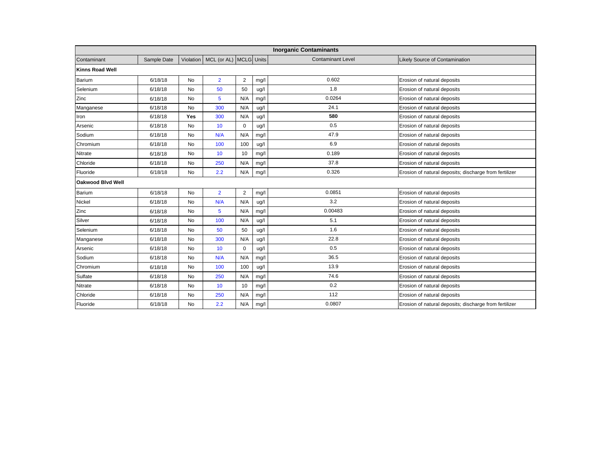| <b>Inorganic Contaminants</b> |             |           |                        |                |      |                          |                                                        |  |  |  |
|-------------------------------|-------------|-----------|------------------------|----------------|------|--------------------------|--------------------------------------------------------|--|--|--|
| Contaminant                   | Sample Date | Violation | MCL (or AL) MCLG Units |                |      | <b>Contaminant Level</b> | Likely Source of Contamination                         |  |  |  |
| Kinns Road Well               |             |           |                        |                |      |                          |                                                        |  |  |  |
| <b>Barium</b>                 | 6/18/18     | No        | $\overline{2}$         | $\overline{2}$ | mg/l | 0.602                    | Erosion of natural deposits                            |  |  |  |
| Selenium                      | 6/18/18     | <b>No</b> | 50                     | 50             | ug/l | 1.8                      | Erosion of natural deposits                            |  |  |  |
| Zinc                          | 6/18/18     | No        | $5\phantom{1}$         | N/A            | mg/l | 0.0264                   | Erosion of natural deposits                            |  |  |  |
| Manganese                     | 6/18/18     | No        | 300                    | N/A            | ug/l | 24.1                     | Erosion of natural deposits                            |  |  |  |
| Iron                          | 6/18/18     | Yes       | 300                    | N/A            | ug/l | 580                      | Erosion of natural deposits                            |  |  |  |
| Arsenic                       | 6/18/18     | <b>No</b> | 10                     | $\mathbf 0$    | ug/l | 0.5                      | Erosion of natural deposits                            |  |  |  |
| Sodium                        | 6/18/18     | No        | N/A                    | N/A            | mg/l | 47.9                     | Erosion of natural deposits                            |  |  |  |
| Chromium                      | 6/18/18     | No        | 100                    | 100            | ug/l | 6.9                      | Erosion of natural deposits                            |  |  |  |
| Nitrate                       | 6/18/18     | No        | 10                     | 10             | mg/l | 0.189                    | Erosion of natural deposits                            |  |  |  |
| Chloride                      | 6/18/18     | No        | 250                    | N/A            | mg/l | 37.8                     | Erosion of natural deposits                            |  |  |  |
| Fluoride                      | 6/18/18     | No        | 2.2                    | N/A            | mg/l | 0.326                    | Erosion of natural deposits; discharge from fertilizer |  |  |  |
| <b>Oakwood Blvd Well</b>      |             |           |                        |                |      |                          |                                                        |  |  |  |
| <b>Barium</b>                 | 6/18/18     | <b>No</b> | $\overline{2}$         | $\overline{2}$ | mg/l | 0.0851                   | Erosion of natural deposits                            |  |  |  |
| Nickel                        | 6/18/18     | No        | N/A                    | N/A            | ug/l | 3.2                      | Erosion of natural deposits                            |  |  |  |
| Zinc                          | 6/18/18     | <b>No</b> | $5\phantom{1}$         | N/A            | mg/l | 0.00483                  | Erosion of natural deposits                            |  |  |  |
| Silver                        | 6/18/18     | No        | 100                    | N/A            | ug/l | 5.1                      | Erosion of natural deposits                            |  |  |  |
| Selenium                      | 6/18/18     | No        | 50                     | 50             | ug/l | 1.6                      | Erosion of natural deposits                            |  |  |  |
| Manganese                     | 6/18/18     | No        | 300                    | N/A            | ug/l | 22.8                     | Erosion of natural deposits                            |  |  |  |
| Arsenic                       | 6/18/18     | No        | 10                     | $\mathbf 0$    | ug/l | 0.5                      | Erosion of natural deposits                            |  |  |  |
| Sodium                        | 6/18/18     | <b>No</b> | N/A                    | N/A            | mg/l | 36.5                     | Erosion of natural deposits                            |  |  |  |
| Chromium                      | 6/18/18     | No        | 100                    | 100            | ug/l | 13.9                     | Erosion of natural deposits                            |  |  |  |
| Sulfate                       | 6/18/18     | No        | 250                    | N/A            | mg/l | 74.6                     | Erosion of natural deposits                            |  |  |  |
| Nitrate                       | 6/18/18     | No        | 10                     | 10             | mg/  | 0.2                      | Erosion of natural deposits                            |  |  |  |
| Chloride                      | 6/18/18     | No        | 250                    | N/A            | mg/l | 112                      | Erosion of natural deposits                            |  |  |  |
| Fluoride                      | 6/18/18     | <b>No</b> | 2.2                    | N/A            | mg/l | 0.0807                   | Erosion of natural deposits; discharge from fertilizer |  |  |  |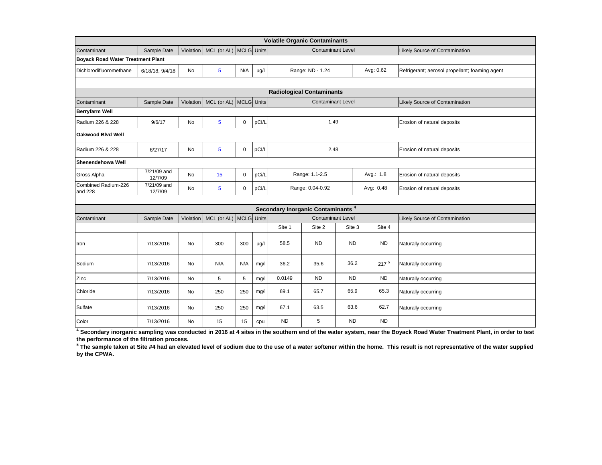|                                          |                        |           |                        |             |       |                             | <b>Volatile Organic Contaminants</b>          |           |  |           |                                                |
|------------------------------------------|------------------------|-----------|------------------------|-------------|-------|-----------------------------|-----------------------------------------------|-----------|--|-----------|------------------------------------------------|
| Contaminant                              | Sample Date            | Violation | MCL (or AL) MCLG Units |             |       | <b>Contaminant Level</b>    |                                               |           |  |           | Likely Source of Contamination                 |
| <b>Boyack Road Water Treatment Plant</b> |                        |           |                        |             |       |                             |                                               |           |  |           |                                                |
| Dichlorodifluoromethane                  | 6/18/18, 9/4/18        | No        | 5                      | N/A         | ug/l  |                             | Range: ND - 1.24                              |           |  | Avg: 0.62 | Refrigerant; aerosol propellant; foaming agent |
|                                          |                        |           |                        |             |       |                             |                                               |           |  |           |                                                |
| <b>Radiological Contaminants</b>         |                        |           |                        |             |       |                             |                                               |           |  |           |                                                |
| Contaminant                              | Sample Date            | Violation | MCL (or AL) MCLG Units |             |       |                             | <b>Contaminant Level</b>                      |           |  |           | Likely Source of Contamination                 |
| <b>Berryfarm Well</b>                    |                        |           |                        |             |       |                             |                                               |           |  |           |                                                |
| Radium 226 & 228                         | 9/6/17                 | No        | 5                      | $\mathbf 0$ | pCI/L |                             | 1.49                                          |           |  |           | Erosion of natural deposits                    |
| <b>Oakwood Blvd Well</b>                 |                        |           |                        |             |       |                             |                                               |           |  |           |                                                |
| Radium 226 & 228                         | 6/27/17                | No        | 5                      | $\mathbf 0$ | pCI/L | 2.48                        |                                               |           |  |           | Erosion of natural deposits                    |
| Shenendehowa Well                        |                        |           |                        |             |       |                             |                                               |           |  |           |                                                |
| Gross Alpha                              | 7/21/09 and<br>12/7/09 | <b>No</b> | 15                     | $\mathbf 0$ | pCi/L | Range: 1.1-2.5<br>Avg.: 1.8 |                                               |           |  |           | Erosion of natural deposits                    |
| Combined Radium-226<br>and 228           | 7/21/09 and<br>12/7/09 | No        | 5                      | 0           | pCi/L |                             | Range: 0.04-0.92                              |           |  | Avg: 0.48 | Erosion of natural deposits                    |
|                                          |                        |           |                        |             |       |                             |                                               |           |  |           |                                                |
|                                          |                        |           |                        |             |       |                             | Secondary Inorganic Contaminants <sup>4</sup> |           |  |           |                                                |
| Contaminant                              | Sample Date            | Violation | MCL (or AL) MCLG Units |             |       | <b>Contaminant Level</b>    |                                               |           |  |           | Likely Source of Contamination                 |
|                                          |                        |           |                        |             |       | Site 1                      | Site 2                                        | Site 3    |  | Site 4    |                                                |
| Iron                                     | 7/13/2016              | No        | 300                    | 300         | ug/l  | 58.5                        | <b>ND</b>                                     | <b>ND</b> |  | <b>ND</b> | Naturally occurring                            |
| Sodium                                   | 7/13/2016              | No        | N/A                    | N/A         | mg/l  | 36.2                        | 35.6                                          | 36.2      |  | $217^{5}$ | Naturally occurring                            |
| Zinc                                     | 7/13/2016              | No        | 5                      | 5           | mg/l  | 0.0149                      | <b>ND</b>                                     | ND.       |  | <b>ND</b> | Naturally occurring                            |
| Chloride                                 | 7/13/2016              | No        | 250                    | 250         | mg/l  | 69.1                        | 65.7                                          | 65.9      |  | 65.3      | Naturally occurring                            |
| Sulfate                                  | 7/13/2016              | No        | 250                    | 250         | mg/l  | 67.1                        | 63.5                                          | 63.6      |  | 62.7      | Naturally occurring                            |
| Color                                    | 7/13/2016              | No        | 15                     | 15          | cpu   | <b>ND</b>                   | 5                                             | <b>ND</b> |  | <b>ND</b> |                                                |

**4 Secondary inorganic sampling was conducted in 2016 at 4 sites in the southern end of the water system, near the Boyack Road Water Treatment Plant, in order to test the performance of the filtration process.** 

<sup>5</sup> The sample taken at Site #4 had an elevated level of sodium due to the use of a water softener within the home. This result is not representative of the water supplied **by the CPWA.**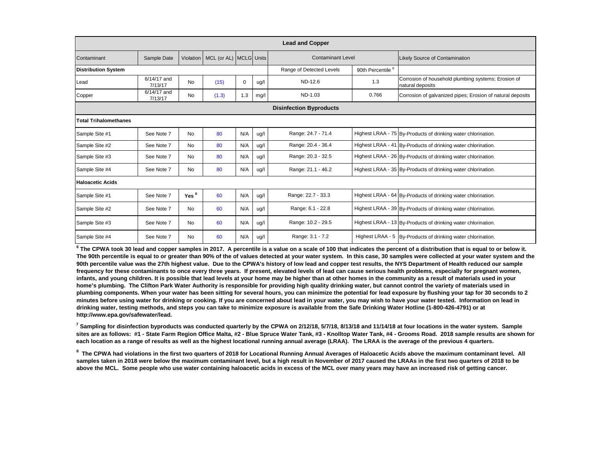| <b>Lead and Copper</b>         |                        |                  |                        |          |      |                          |                              |                                                                         |  |
|--------------------------------|------------------------|------------------|------------------------|----------|------|--------------------------|------------------------------|-------------------------------------------------------------------------|--|
| Contaminant                    | Sample Date            | <b>Violation</b> | MCL (or AL) MCLG Units |          |      | <b>Contaminant Level</b> |                              | <b>Likely Source of Contamination</b>                                   |  |
| <b>Distribution System</b>     |                        |                  |                        |          |      | Range of Detected Levels | 90th Percentile <sup>6</sup> |                                                                         |  |
| Lead                           | 6/14/17 and<br>7/13/17 | <b>No</b>        | (15)                   | $\Omega$ | ug/l | ND-12.6                  | 1.3                          | Corrosion of household plumbing systems; Erosion of<br>natural deposits |  |
| Copper                         | 6/14/17 and<br>7/13/17 | No               | (1.3)                  | 1.3      | mg/l | ND-1.03                  | 0.766                        | Corrosion of galvanized pipes; Erosion of natural deposits              |  |
| <b>Disinfection Byproducts</b> |                        |                  |                        |          |      |                          |                              |                                                                         |  |
| <b>Total Trihalomethanes</b>   |                        |                  |                        |          |      |                          |                              |                                                                         |  |
| Sample Site #1                 | See Note 7             | <b>No</b>        | 80                     | N/A      | ug/l | Range: 24.7 - 71.4       |                              | Highest LRAA - 75 By-Products of drinking water chlorination.           |  |
| Sample Site #2                 | See Note 7             | <b>No</b>        | 80                     | N/A      | ug/l | Range: 20.4 - 36.4       |                              | Highest LRAA - 41 By-Products of drinking water chlorination.           |  |
| Sample Site #3                 | See Note 7             | No               | 80                     | N/A      | ug/l | Range: 20.3 - 32.5       |                              | Highest LRAA - 26 By-Products of drinking water chlorination.           |  |
| Sample Site #4                 | See Note 7             | No               | 80                     | N/A      | ug/l | Range: 21.1 - 46.2       |                              | Highest LRAA - 35 By-Products of drinking water chlorination.           |  |
| <b>Haloacetic Acids</b>        |                        |                  |                        |          |      |                          |                              |                                                                         |  |
| Sample Site #1                 | See Note 7             | Yes <sup>8</sup> | 60                     | N/A      | ug/l | Range: 22.7 - 33.3       |                              | Highest LRAA - 64 By-Products of drinking water chlorination.           |  |
| Sample Site #2                 | See Note 7             | <b>No</b>        | 60                     | N/A      | ug/l | Range: 6.1 - 22.8        |                              | Highest LRAA - 39 By-Products of drinking water chlorination.           |  |
| Sample Site #3                 | See Note 7             | <b>No</b>        | 60                     | N/A      | ug/l | Range: 10.2 - 29.5       |                              | Highest LRAA - 13 By-Products of drinking water chlorination.           |  |
| Sample Site #4                 | See Note 7             | No               | 60                     | N/A      | ug/l | Range: 3.1 - 7.2         |                              | Highest LRAA - 5  By-Products of drinking water chlorination.           |  |

**<sup>6</sup> The CPWA took 30 lead and copper samples in 2017. A percentile is a value on a scale of 100 that indicates the percent of a distribution that is equal to or below it. The 90th percentile is equal to or greater than 90% of the of values detected at your water system. In this case, 30 samples were collected at your water system and the 90th percentile value was the 27th highest value. Due to the CPWA's history of low lead and copper test results, the NYS Department of Health reduced our sample frequency for these contaminants to once every three years. If present, elevated levels of lead can cause serious health problems, especially for pregnant women, infants, and young children. It is possible that lead levels at your home may be higher than at other homes in the community as a result of materials used in your home's plumbing. The Clifton Park Water Authority is responsible for providing high quality drinking water, but cannot control the variety of materials used in plumbing components. When your water has been sitting for several hours, you can minimize the potential for lead exposure by flushing your tap for 30 seconds to 2 minutes before using water for drinking or cooking. If you are concerned about lead in your water, you may wish to have your water tested. Information on lead in drinking water, testing methods, and steps you can take to minimize exposure is available from the Safe Drinking Water Hotline (1-800-426-4791) or at http://www.epa.gov/safewater/lead.**

<sup>7</sup> Sampling for disinfection byproducts was conducted quarterly by the CPWA on 2/12/18, 5/7/18, 8/13/18 and 11/14/18 at four locations in the water system. Sample sites are as follows: #1 - State Farm Region Office Malta, #2 - Blue Spruce Water Tank, #3 - Knolltop Water Tank, #4 - Grooms Road. 2018 sample results are shown for each location as a range of results as well as the highest locational running annual average (LRAA). The LRAA is the average of the previous 4 quarters.

**8 The CPWA had violations in the first two quarters of 2018 for Locational Running Annual Averages of Haloacetic Acids above the maximum contaminant level. All samples taken in 2018 were below the maximum contaminant level, but a high result in November of 2017 caused the LRAAs in the first two quarters of 2018 to be above the MCL. Some people who use water containing haloacetic acids in excess of the MCL over many years may have an increased risk of getting cancer.**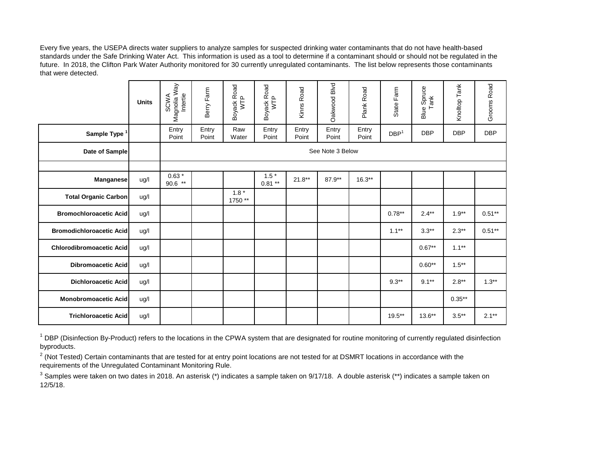Every five years, the USEPA directs water suppliers to analyze samples for suspected drinking water contaminants that do not have health-based standards under the Safe Drinking Water Act. This information is used as a tool to determine if a contaminant should or should not be regulated in the future. In 2018, the Clifton Park Water Authority monitored for 30 currently unregulated contaminants. The list below represents those contaminants that were detected.

|                                 | <b>Units</b> | Magnolia Way<br>Intertie<br>SCWA | Berry Farm     | Boyack Road<br>WTP | Boyack Road<br>WTP | Kinns Road     | Oakwood Blvd     | Plank Road     | State Farm       | <b>Blue Spruce</b><br>Tank | Knolltop Tank | Grooms Road |
|---------------------------------|--------------|----------------------------------|----------------|--------------------|--------------------|----------------|------------------|----------------|------------------|----------------------------|---------------|-------------|
| Sample Type                     |              | Entry<br>Point                   | Entry<br>Point | Raw<br>Water       | Entry<br>Point     | Entry<br>Point | Entry<br>Point   | Entry<br>Point | DBP <sup>1</sup> | <b>DBP</b>                 | <b>DBP</b>    | <b>DBP</b>  |
| Date of Sample                  |              |                                  |                |                    |                    |                | See Note 3 Below |                |                  |                            |               |             |
|                                 |              |                                  |                |                    |                    |                |                  |                |                  |                            |               |             |
| <b>Manganese</b>                | ug/l         | $0.63*$<br>$90.6$ **             |                |                    | $1.5*$<br>$0.81**$ | $21.8**$       | 87.9**           | $16.3**$       |                  |                            |               |             |
| <b>Total Organic Carbon</b>     | ug/l         |                                  |                | $1.8*$<br>1750**   |                    |                |                  |                |                  |                            |               |             |
| <b>Bromochloroacetic Acid</b>   | ug/l         |                                  |                |                    |                    |                |                  |                | $0.78**$         | $2.4***$                   | $1.9**$       | $0.51**$    |
| <b>Bromodichloroacetic Acid</b> | ug/l         |                                  |                |                    |                    |                |                  |                | $1.1***$         | $3.3**$                    | $2.3**$       | $0.51**$    |
| <b>Chlorodibromoacetic Acid</b> | ug/l         |                                  |                |                    |                    |                |                  |                |                  | $0.67**$                   | $1.1***$      |             |
| <b>Dibromoacetic Acid</b>       | ug/l         |                                  |                |                    |                    |                |                  |                |                  | $0.60**$                   | $1.5***$      |             |
| <b>Dichloroacetic Acid</b>      | ug/l         |                                  |                |                    |                    |                |                  |                | $9.3**$          | $9.1***$                   | $2.8**$       | $1.3**$     |
| Monobromoacetic Acid            | ug/l         |                                  |                |                    |                    |                |                  |                |                  |                            | $0.35***$     |             |
| <b>Trichloroacetic Acid</b>     | ug/l         |                                  |                |                    |                    |                |                  |                | $19.5***$        | $13.6***$                  | $3.5***$      | $2.1**$     |

<sup>1</sup> DBP (Disinfection By-Product) refers to the locations in the CPWA system that are designated for routine monitoring of currently regulated disinfection byproducts.

 $2$  (Not Tested) Certain contaminants that are tested for at entry point locations are not tested for at DSMRT locations in accordance with the requirements of the Unregulated Contaminant Monitoring Rule.

<sup>3</sup> Samples were taken on two dates in 2018. An asterisk (\*) indicates a sample taken on 9/17/18. A double asterisk (\*\*) indicates a sample taken on 12/5/18.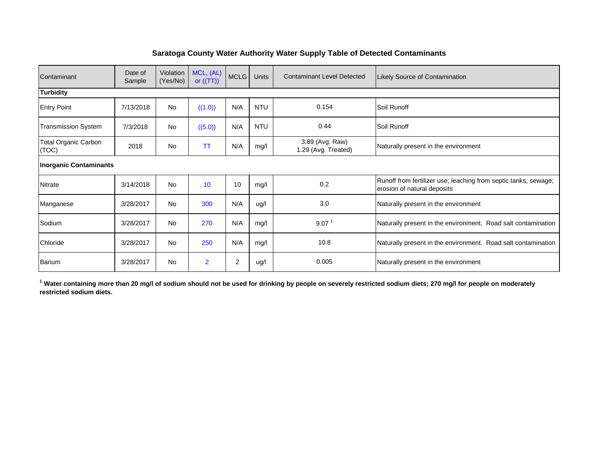#### **Saratoga County Water Authority Water Supply Table of Detected Contaminants**

| Contaminant                          | Date of<br>Sample | Violation<br>(Yes/No) | MCL, (AL)<br>or $((TT))$ | <b>MCLG</b> | <b>Units</b> | <b>Contaminant Level Detected</b>      | <b>Likely Source of Contamination</b>                                                          |
|--------------------------------------|-------------------|-----------------------|--------------------------|-------------|--------------|----------------------------------------|------------------------------------------------------------------------------------------------|
| <b>Turbidity</b>                     |                   |                       |                          |             |              |                                        |                                                                                                |
| <b>Entry Point</b>                   | 7/13/2018         | <b>No</b>             | ((1.0))                  | N/A         | <b>NTU</b>   | 0.154                                  | Soil Runoff                                                                                    |
| <b>Transmission System</b>           | 7/3/2018          | <b>No</b>             | ((5.0))                  | N/A         | <b>NTU</b>   | 0.44                                   | Soil Runoff                                                                                    |
| <b>Total Organic Carbon</b><br>(TOC) | 2018              | <b>No</b>             | TT                       | N/A         | mg/l         | 3.89 (Avg. Raw)<br>1.29 (Avg. Treated) | Naturally present in the environment                                                           |
| <b>Inorganic Contaminants</b>        |                   |                       |                          |             |              |                                        |                                                                                                |
| <b>Nitrate</b>                       | 3/14/2018         | <b>No</b>             | 10                       | 10          | mg/l         | 0.2                                    | Runoff from fertilizer use; leaching from septic tanks, sewage;<br>erosion of natural deposits |
| Manganese                            | 3/28/2017         | <b>No</b>             | 300                      | N/A         | ug/l         | 3.0                                    | Naturally present in the environment                                                           |
| Sodium                               | 3/28/2017         | <b>No</b>             | 270                      | N/A         | mg/l         | 9.07 <sup>1</sup>                      | Naturally present in the environment. Road salt contamination                                  |
| Chloride                             | 3/28/2017         | <b>No</b>             | 250                      | N/A         | mg/l         | 10.8                                   | Naturally present in the environment. Road salt contamination                                  |
| <b>Barium</b>                        | 3/28/2017         | <b>No</b>             | $\overline{2}$           | 2           | ug/l         | 0.005                                  | Naturally present in the environment                                                           |

**1 Water containing more than 20 mg/l of sodium should not be used for drinking by people on severely restricted sodium diets; 270 mg/l for people on moderately restricted sodium diets.**